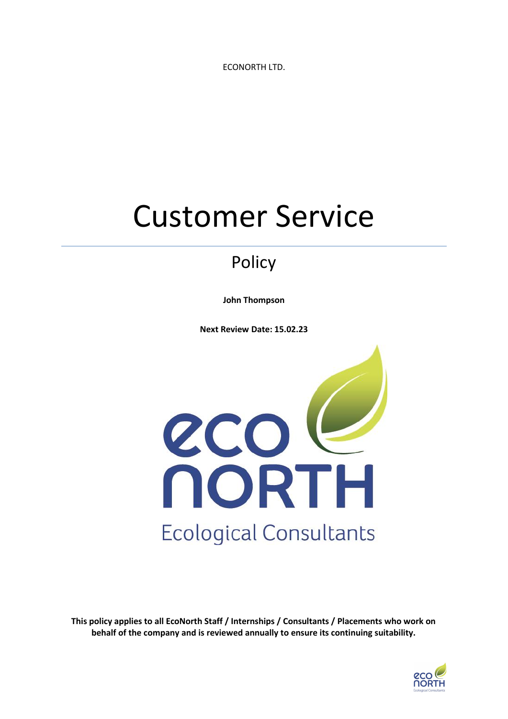ECONORTH LTD.

# Customer Service

# Policy

**John Thompson**

**Next Review Date: 15.02.23**



**This policy applies to all EcoNorth Staff / Internships / Consultants / Placements who work on behalf of the company and is reviewed annually to ensure its continuing suitability.**

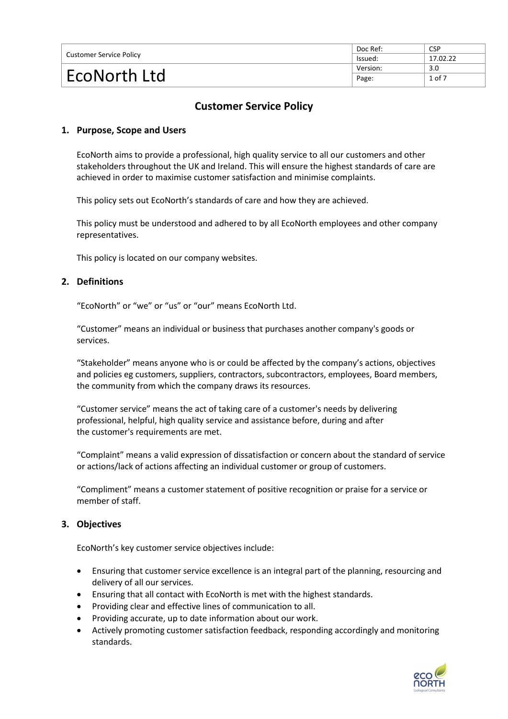| Customer Service Policy | Doc Ref: | <b>CSP</b> |
|-------------------------|----------|------------|
|                         | lssued:  | 17.02.22   |
| EcoNorth Ltd            | Version: | 3.0        |
|                         | Page:    | 1 of 7     |

# **Customer Service Policy**

# **1. Purpose, Scope and Users**

EcoNorth aims to provide a professional, high quality service to all our customers and other stakeholders throughout the UK and Ireland. This will ensure the highest standards of care are achieved in order to maximise customer satisfaction and minimise complaints.

This policy sets out EcoNorth's standards of care and how they are achieved.

This policy must be understood and adhered to by all EcoNorth employees and other company representatives.

This policy is located on our company websites.

# **2. Definitions**

"EcoNorth" or "we" or "us" or "our" means EcoNorth Ltd.

"Customer" means an individual or business that purchases another company's goods or services.

"Stakeholder" means anyone who is or could be affected by the company's actions, objectives and policies eg customers, suppliers, contractors, subcontractors, employees, Board members, the community from which the company draws its resources.

"Customer service" means the act of taking care of a customer's needs by delivering professional, helpful, high quality service and assistance before, during and after the customer's requirements are met.

"Complaint" means a valid expression of dissatisfaction or concern about the standard of service or actions/lack of actions affecting an individual customer or group of customers.

"Compliment" means a customer statement of positive recognition or praise for a service or member of staff.

# **3. Objectives**

EcoNorth's key customer service objectives include:

- Ensuring that customer service excellence is an integral part of the planning, resourcing and delivery of all our services.
- Ensuring that all contact with EcoNorth is met with the highest standards.
- Providing clear and effective lines of communication to all.
- Providing accurate, up to date information about our work.
- Actively promoting customer satisfaction feedback, responding accordingly and monitoring standards.

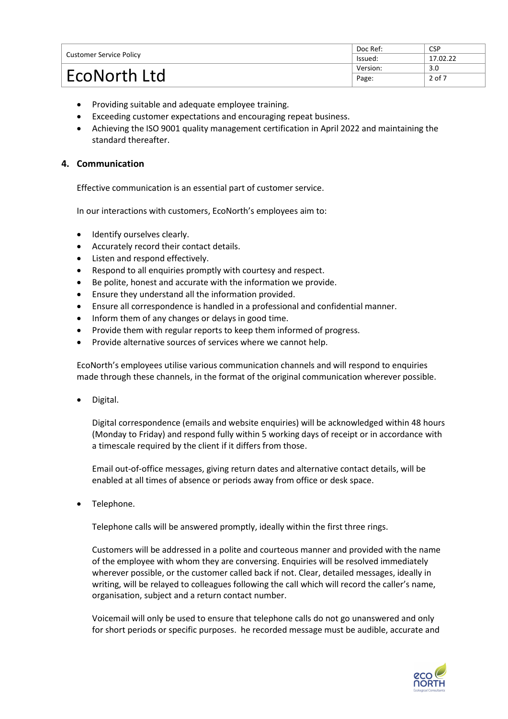| <b>Customer Service Policy</b> | Doc Ref: | <b>CSP</b> |
|--------------------------------|----------|------------|
|                                | lssued:  | 17.02.22   |
| EcoNorth Ltd                   | Version: | 3.0        |
|                                | Page:    | 2 of 7     |

- Providing suitable and adequate employee training.
- Exceeding customer expectations and encouraging repeat business.
- Achieving the ISO 9001 quality management certification in April 2022 and maintaining the standard thereafter.

# **4. Communication**

Effective communication is an essential part of customer service.

In our interactions with customers, EcoNorth's employees aim to:

- Identify ourselves clearly.
- Accurately record their contact details.
- Listen and respond effectively.
- Respond to all enquiries promptly with courtesy and respect.
- Be polite, honest and accurate with the information we provide.
- Ensure they understand all the information provided.
- Ensure all correspondence is handled in a professional and confidential manner.
- Inform them of any changes or delays in good time.
- Provide them with regular reports to keep them informed of progress.
- Provide alternative sources of services where we cannot help.

EcoNorth's employees utilise various communication channels and will respond to enquiries made through these channels, in the format of the original communication wherever possible.

• Digital.

Digital correspondence (emails and website enquiries) will be acknowledged within 48 hours (Monday to Friday) and respond fully within 5 working days of receipt or in accordance with a timescale required by the client if it differs from those.

Email out-of-office messages, giving return dates and alternative contact details, will be enabled at all times of absence or periods away from office or desk space.

Telephone.

Telephone calls will be answered promptly, ideally within the first three rings.

Customers will be addressed in a polite and courteous manner and provided with the name of the employee with whom they are conversing. Enquiries will be resolved immediately wherever possible, or the customer called back if not. Clear, detailed messages, ideally in writing, will be relayed to colleagues following the call which will record the caller's name, organisation, subject and a return contact number.

Voicemail will only be used to ensure that telephone calls do not go unanswered and only for short periods or specific purposes. he recorded message must be audible, accurate and

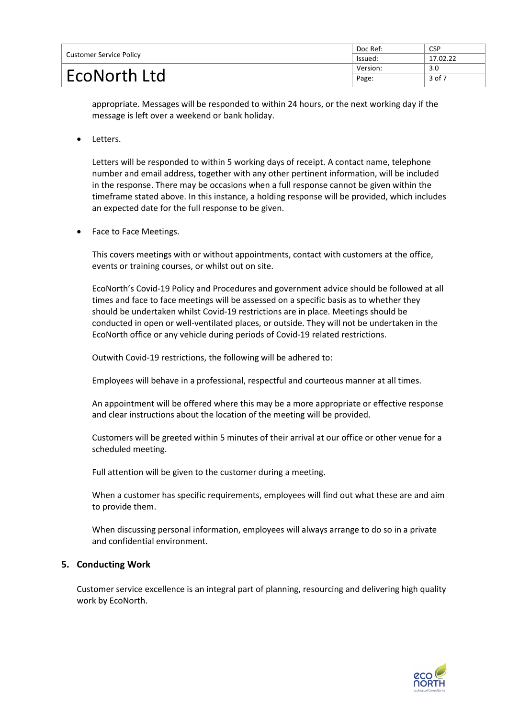| <b>Customer Service Policy</b> | Doc Ref: | <b>CSP</b> |
|--------------------------------|----------|------------|
|                                | lssued:  | 17.02.22   |
| EcoNorth Ltd                   | Version: | 3.0        |
|                                | Page:    | 3 of 7     |

appropriate. Messages will be responded to within 24 hours, or the next working day if the message is left over a weekend or bank holiday.

Letters.

Letters will be responded to within 5 working days of receipt. A contact name, telephone number and email address, together with any other pertinent information, will be included in the response. There may be occasions when a full response cannot be given within the timeframe stated above. In this instance, a holding response will be provided, which includes an expected date for the full response to be given.

Face to Face Meetings.

This covers meetings with or without appointments, contact with customers at the office, events or training courses, or whilst out on site.

EcoNorth's Covid-19 Policy and Procedures and government advice should be followed at all times and face to face meetings will be assessed on a specific basis as to whether they should be undertaken whilst Covid-19 restrictions are in place. Meetings should be conducted in open or well-ventilated places, or outside. They will not be undertaken in the EcoNorth office or any vehicle during periods of Covid-19 related restrictions.

Outwith Covid-19 restrictions, the following will be adhered to:

Employees will behave in a professional, respectful and courteous manner at all times.

An appointment will be offered where this may be a more appropriate or effective response and clear instructions about the location of the meeting will be provided.

Customers will be greeted within 5 minutes of their arrival at our office or other venue for a scheduled meeting.

Full attention will be given to the customer during a meeting.

When a customer has specific requirements, employees will find out what these are and aim to provide them.

When discussing personal information, employees will always arrange to do so in a private and confidential environment.

# **5. Conducting Work**

Customer service excellence is an integral part of planning, resourcing and delivering high quality work by EcoNorth.

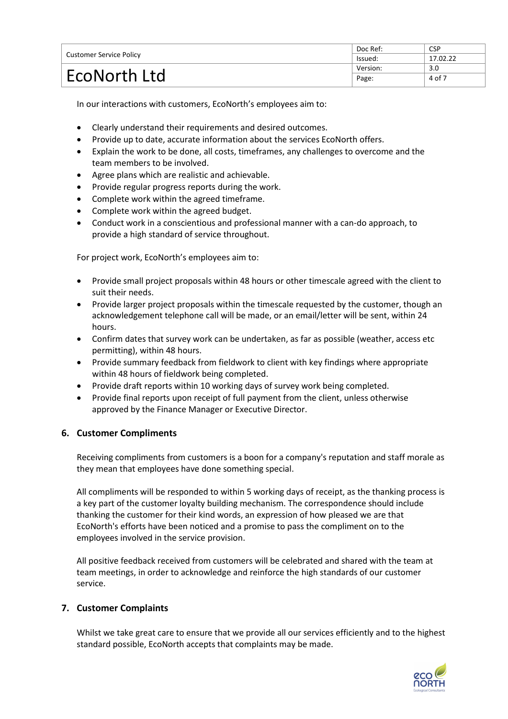| <b>Customer Service Policy</b> | Doc Ref: | <b>CSP</b> |
|--------------------------------|----------|------------|
|                                | lssued:  | 17.02.22   |
| EcoNorth Ltd                   | Version: | 3.0        |
|                                | Page:    | 4 of 7     |

In our interactions with customers, EcoNorth's employees aim to:

- Clearly understand their requirements and desired outcomes.
- Provide up to date, accurate information about the services EcoNorth offers.
- Explain the work to be done, all costs, timeframes, any challenges to overcome and the team members to be involved.
- Agree plans which are realistic and achievable.
- Provide regular progress reports during the work.
- Complete work within the agreed timeframe.
- Complete work within the agreed budget.
- Conduct work in a conscientious and professional manner with a can-do approach, to provide a high standard of service throughout.

For project work, EcoNorth's employees aim to:

- Provide small project proposals within 48 hours or other timescale agreed with the client to suit their needs.
- Provide larger project proposals within the timescale requested by the customer, though an acknowledgement telephone call will be made, or an email/letter will be sent, within 24 hours.
- Confirm dates that survey work can be undertaken, as far as possible (weather, access etc permitting), within 48 hours.
- Provide summary feedback from fieldwork to client with key findings where appropriate within 48 hours of fieldwork being completed.
- Provide draft reports within 10 working days of survey work being completed.
- Provide final reports upon receipt of full payment from the client, unless otherwise approved by the Finance Manager or Executive Director.

# **6. Customer Compliments**

Receiving compliments from customers is a boon for a company's reputation and staff morale as they mean that employees have done something special.

All compliments will be responded to within 5 working days of receipt, as the thanking process is a key part of the customer loyalty building mechanism. The correspondence should include thanking the customer for their kind words, an expression of how pleased we are that EcoNorth's efforts have been noticed and a promise to pass the compliment on to the employees involved in the service provision.

All positive feedback received from customers will be celebrated and shared with the team at team meetings, in order to acknowledge and reinforce the high standards of our customer service.

# **7. Customer Complaints**

Whilst we take great care to ensure that we provide all our services efficiently and to the highest standard possible, EcoNorth accepts that complaints may be made.

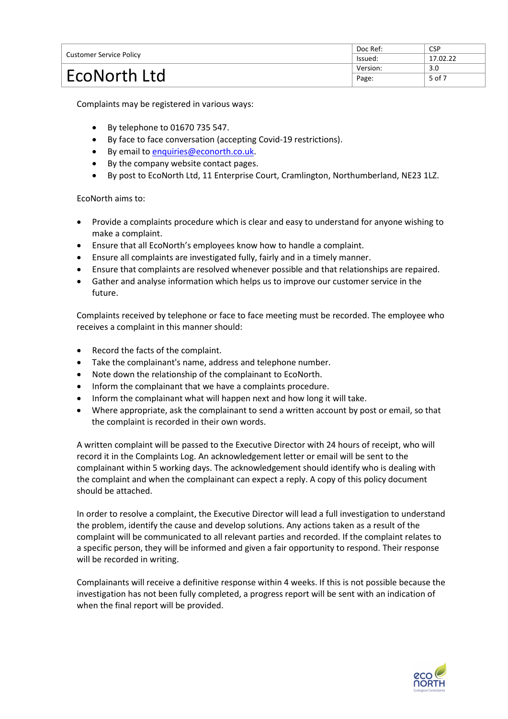| <b>Customer Service Policy</b> | Doc Ref: | <b>CSP</b> |
|--------------------------------|----------|------------|
|                                | lssued:  | 17.02.22   |
| EcoNorth Ltd                   | Version: | 3.0        |
|                                | Page:    | 5 of 7     |

Complaints may be registered in various ways:

- By telephone to 01670 735 547.
- By face to face conversation (accepting Covid-19 restrictions).
- By email to [enquiries@econorth.co.uk.](mailto:enquiries@econorth.co.uk)
- By the company website contact pages.
- By post to EcoNorth Ltd, 11 Enterprise Court, Cramlington, Northumberland, NE23 1LZ.

EcoNorth aims to:

- Provide a complaints procedure which is clear and easy to understand for anyone wishing to make a complaint.
- Ensure that all EcoNorth's employees know how to handle a complaint.
- Ensure all complaints are investigated fully, fairly and in a timely manner.
- Ensure that complaints are resolved whenever possible and that relationships are repaired.
- Gather and analyse information which helps us to improve our customer service in the future.

Complaints received by telephone or face to face meeting must be recorded. The employee who receives a complaint in this manner should:

- Record the facts of the complaint.
- Take the complainant's name, address and telephone number.
- Note down the relationship of the complainant to EcoNorth.
- Inform the complainant that we have a complaints procedure.
- Inform the complainant what will happen next and how long it will take.
- Where appropriate, ask the complainant to send a written account by post or email, so that the complaint is recorded in their own words.

A written complaint will be passed to the Executive Director with 24 hours of receipt, who will record it in the Complaints Log. An acknowledgement letter or email will be sent to the complainant within 5 working days. The acknowledgement should identify who is dealing with the complaint and when the complainant can expect a reply. A copy of this policy document should be attached.

In order to resolve a complaint, the Executive Director will lead a full investigation to understand the problem, identify the cause and develop solutions. Any actions taken as a result of the complaint will be communicated to all relevant parties and recorded. If the complaint relates to a specific person, they will be informed and given a fair opportunity to respond. Their response will be recorded in writing.

Complainants will receive a definitive response within 4 weeks. If this is not possible because the investigation has not been fully completed, a progress report will be sent with an indication of when the final report will be provided.

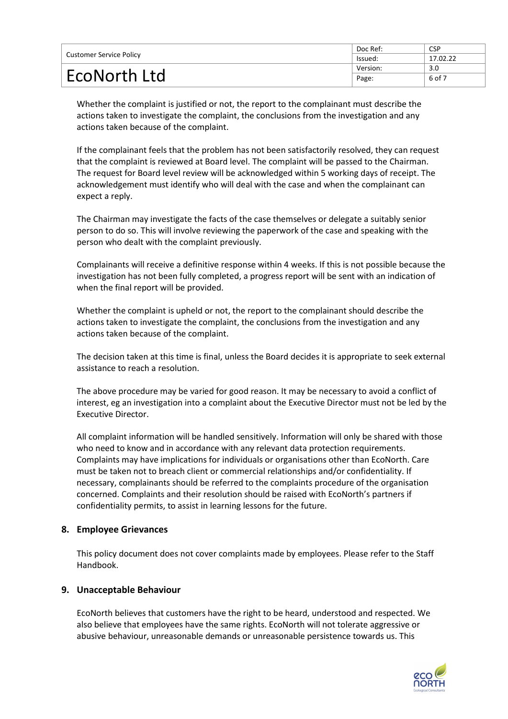| Customer Service Policy | Doc Ref: | <b>CSP</b> |
|-------------------------|----------|------------|
|                         | lssued:  | 17.02.22   |
| EcoNorth Ltd            | Version: | 3.0        |
|                         | Page:    | 6 of 7     |

Whether the complaint is justified or not, the report to the complainant must describe the actions taken to investigate the complaint, the conclusions from the investigation and any actions taken because of the complaint.

If the complainant feels that the problem has not been satisfactorily resolved, they can request that the complaint is reviewed at Board level. The complaint will be passed to the Chairman. The request for Board level review will be acknowledged within 5 working days of receipt. The acknowledgement must identify who will deal with the case and when the complainant can expect a reply.

The Chairman may investigate the facts of the case themselves or delegate a suitably senior person to do so. This will involve reviewing the paperwork of the case and speaking with the person who dealt with the complaint previously.

Complainants will receive a definitive response within 4 weeks. If this is not possible because the investigation has not been fully completed, a progress report will be sent with an indication of when the final report will be provided.

Whether the complaint is upheld or not, the report to the complainant should describe the actions taken to investigate the complaint, the conclusions from the investigation and any actions taken because of the complaint.

The decision taken at this time is final, unless the Board decides it is appropriate to seek external assistance to reach a resolution.

The above procedure may be varied for good reason. It may be necessary to avoid a conflict of interest, eg an investigation into a complaint about the Executive Director must not be led by the Executive Director.

All complaint information will be handled sensitively. Information will only be shared with those who need to know and in accordance with any relevant data protection requirements. Complaints may have implications for individuals or organisations other than EcoNorth. Care must be taken not to breach client or commercial relationships and/or confidentiality. If necessary, complainants should be referred to the complaints procedure of the organisation concerned. Complaints and their resolution should be raised with EcoNorth's partners if confidentiality permits, to assist in learning lessons for the future.

# **8. Employee Grievances**

This policy document does not cover complaints made by employees. Please refer to the Staff Handbook.

# **9. Unacceptable Behaviour**

EcoNorth believes that customers have the right to be heard, understood and respected. We also believe that employees have the same rights. EcoNorth will not tolerate aggressive or abusive behaviour, unreasonable demands or unreasonable persistence towards us. This